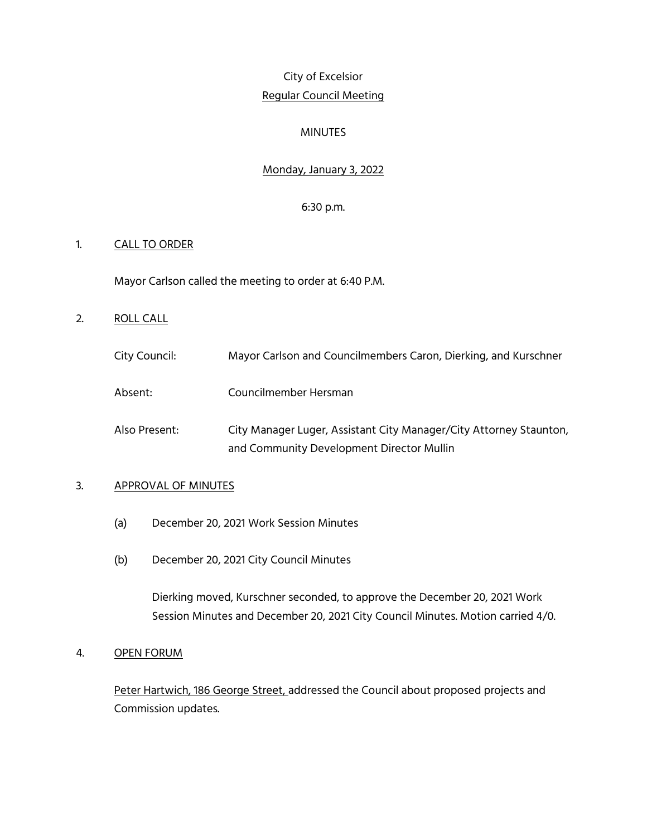# City of Excelsior Regular Council Meeting

#### MINUTES

# Monday, January 3, 2022

#### 6:30 p.m.

#### 1. CALL TO ORDER

Mayor Carlson called the meeting to order at 6:40 P.M.

- 2. ROLL CALL
	- City Council: Mayor Carlson and Councilmembers Caron, Dierking, and Kurschner
	- Absent: Councilmember Hersman
	- Also Present: City Manager Luger, Assistant City Manager/City Attorney Staunton, and Community Development Director Mullin

#### 3. APPROVAL OF MINUTES

- (a) December 20, 2021 Work Session Minutes
- (b) December 20, 2021 City Council Minutes

Dierking moved, Kurschner seconded, to approve the December 20, 2021 Work Session Minutes and December 20, 2021 City Council Minutes. Motion carried 4/0.

#### 4. OPEN FORUM

Peter Hartwich, 186 George Street, addressed the Council about proposed projects and Commission updates.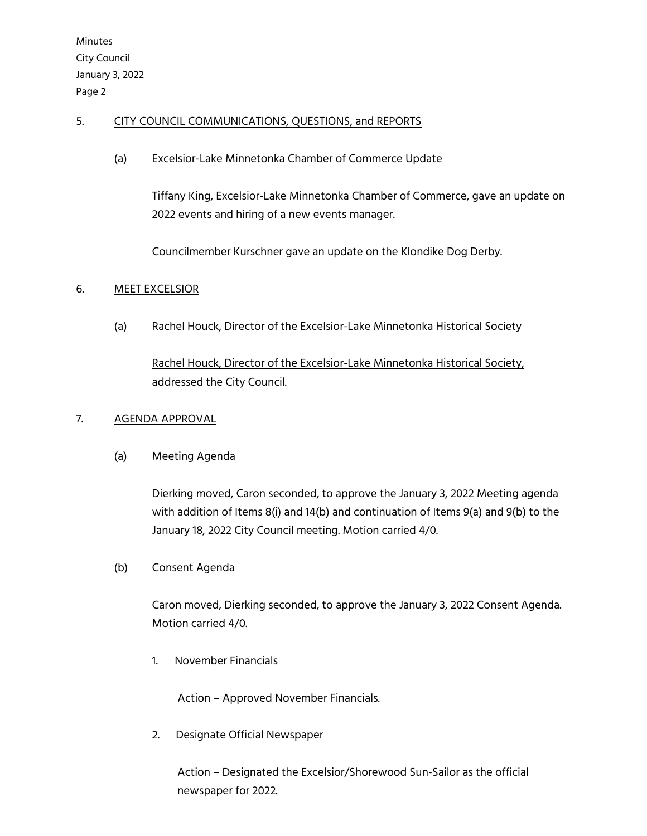Minutes City Council January 3, 2022 Page 2

# 5. CITY COUNCIL COMMUNICATIONS, QUESTIONS, and REPORTS

(a) Excelsior-Lake Minnetonka Chamber of Commerce Update

Tiffany King, Excelsior-Lake Minnetonka Chamber of Commerce, gave an update on 2022 events and hiring of a new events manager.

Councilmember Kurschner gave an update on the Klondike Dog Derby.

## 6. MEET EXCELSIOR

(a) Rachel Houck, Director of the Excelsior-Lake Minnetonka Historical Society

Rachel Houck, Director of the Excelsior-Lake Minnetonka Historical Society, addressed the City Council.

## 7. AGENDA APPROVAL

(a) Meeting Agenda

Dierking moved, Caron seconded, to approve the January 3, 2022 Meeting agenda with addition of Items 8(i) and 14(b) and continuation of Items 9(a) and 9(b) to the January 18, 2022 City Council meeting. Motion carried 4/0.

(b) Consent Agenda

Caron moved, Dierking seconded, to approve the January 3, 2022 Consent Agenda. Motion carried 4/0.

1. November Financials

Action – Approved November Financials.

2. Designate Official Newspaper

Action – Designated the Excelsior/Shorewood Sun-Sailor as the official newspaper for 2022.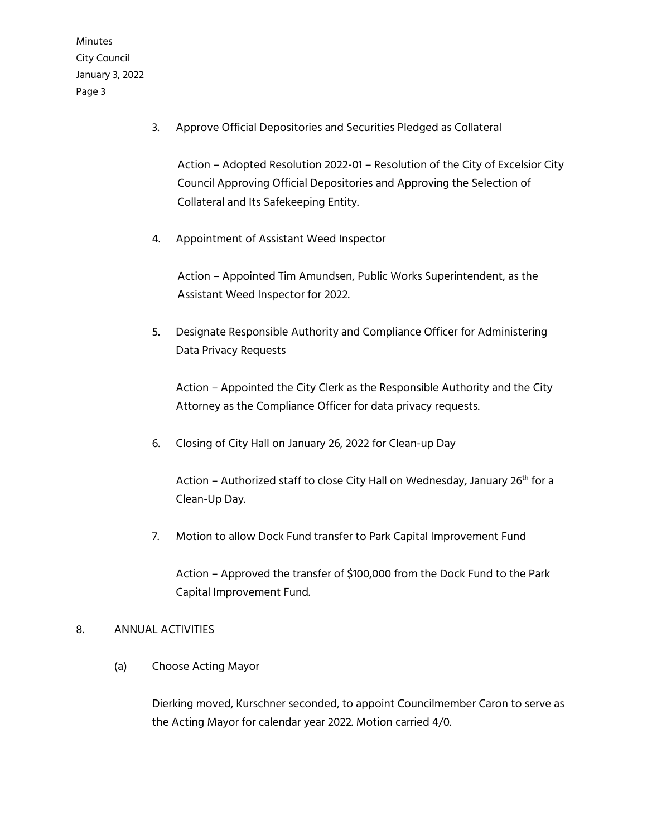Minutes City Council January 3, 2022 Page 3

3. Approve Official Depositories and Securities Pledged as Collateral

Action – Adopted Resolution 2022-01 – Resolution of the City of Excelsior City Council Approving Official Depositories and Approving the Selection of Collateral and Its Safekeeping Entity.

4. Appointment of Assistant Weed Inspector

Action – Appointed Tim Amundsen, Public Works Superintendent, as the Assistant Weed Inspector for 2022.

5. Designate Responsible Authority and Compliance Officer for Administering Data Privacy Requests

Action – Appointed the City Clerk as the Responsible Authority and the City Attorney as the Compliance Officer for data privacy requests.

6. Closing of City Hall on January 26, 2022 for Clean-up Day

Action - Authorized staff to close City Hall on Wednesday, January 26<sup>th</sup> for a Clean-Up Day.

7. Motion to allow Dock Fund transfer to Park Capital Improvement Fund

Action – Approved the transfer of \$100,000 from the Dock Fund to the Park Capital Improvement Fund.

## 8. ANNUAL ACTIVITIES

(a) Choose Acting Mayor

Dierking moved, Kurschner seconded, to appoint Councilmember Caron to serve as the Acting Mayor for calendar year 2022. Motion carried 4/0.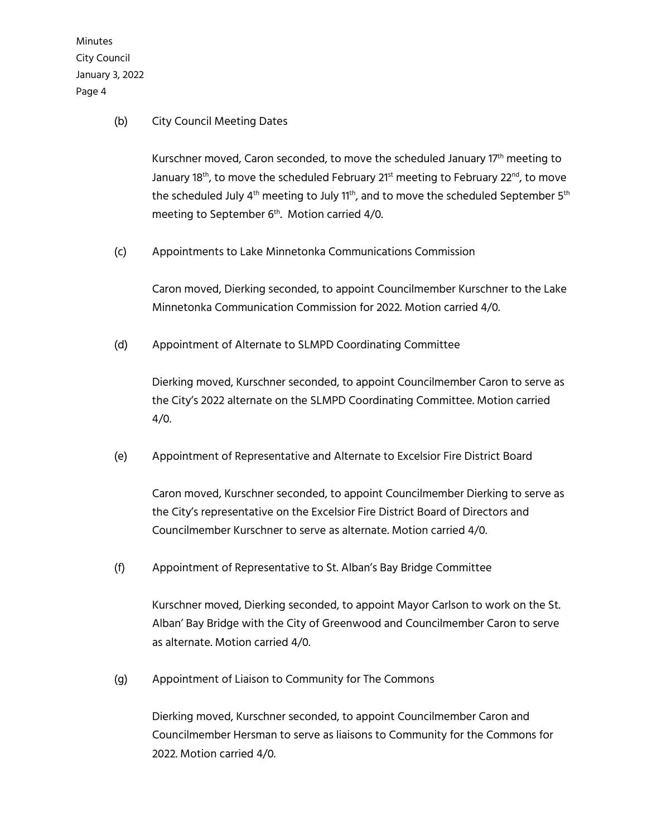Minutes City Council January 3, 2022 Page 4

#### (b) City Council Meeting Dates

Kurschner moved, Caron seconded, to move the scheduled January  $17<sup>th</sup>$  meeting to January 18<sup>th</sup>, to move the scheduled February 21<sup>st</sup> meeting to February 22<sup>nd</sup>, to move the scheduled July  $4<sup>th</sup>$  meeting to July 1<sup>th</sup>, and to move the scheduled September 5<sup>th</sup> meeting to September 6<sup>th</sup>. Motion carried 4/0.

(c) Appointments to Lake Minnetonka Communications Commission

Caron moved, Dierking seconded, to appoint Councilmember Kurschner to the Lake Minnetonka Communication Commission for 2022. Motion carried 4/0.

(d) Appointment of Alternate to SLMPD Coordinating Committee

Dierking moved, Kurschner seconded, to appoint Councilmember Caron to serve as the City's 2022 alternate on the SLMPD Coordinating Committee. Motion carried 4/0.

(e) Appointment of Representative and Alternate to Excelsior Fire District Board

Caron moved, Kurschner seconded, to appoint Councilmember Dierking to serve as the City's representative on the Excelsior Fire District Board of Directors and Councilmember Kurschner to serve as alternate. Motion carried 4/0.

(f) Appointment of Representative to St. Alban's Bay Bridge Committee

Kurschner moved, Dierking seconded, to appoint Mayor Carlson to work on the St. Alban' Bay Bridge with the City of Greenwood and Councilmember Caron to serve as alternate. Motion carried 4/0.

(g) Appointment of Liaison to Community for The Commons

Dierking moved, Kurschner seconded, to appoint Councilmember Caron and Councilmember Hersman to serve as liaisons to Community for the Commons for 2022. Motion carried 4/0.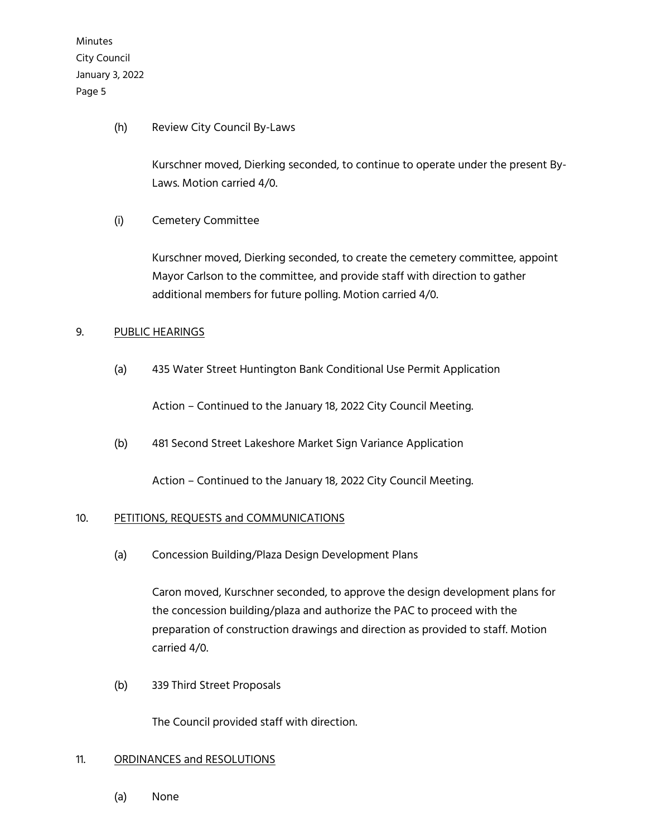Minutes City Council January 3, 2022 Page 5

(h) Review City Council By-Laws

Kurschner moved, Dierking seconded, to continue to operate under the present By-Laws. Motion carried 4/0.

(i) Cemetery Committee

Kurschner moved, Dierking seconded, to create the cemetery committee, appoint Mayor Carlson to the committee, and provide staff with direction to gather additional members for future polling. Motion carried 4/0.

## 9. PUBLIC HEARINGS

(a) 435 Water Street Huntington Bank Conditional Use Permit Application

Action – Continued to the January 18, 2022 City Council Meeting.

(b) 481 Second Street Lakeshore Market Sign Variance Application

Action – Continued to the January 18, 2022 City Council Meeting.

## 10. PETITIONS, REQUESTS and COMMUNICATIONS

(a) Concession Building/Plaza Design Development Plans

Caron moved, Kurschner seconded, to approve the design development plans for the concession building/plaza and authorize the PAC to proceed with the preparation of construction drawings and direction as provided to staff. Motion carried 4/0.

(b) 339 Third Street Proposals

The Council provided staff with direction.

#### 11. ORDINANCES and RESOLUTIONS

(a) None